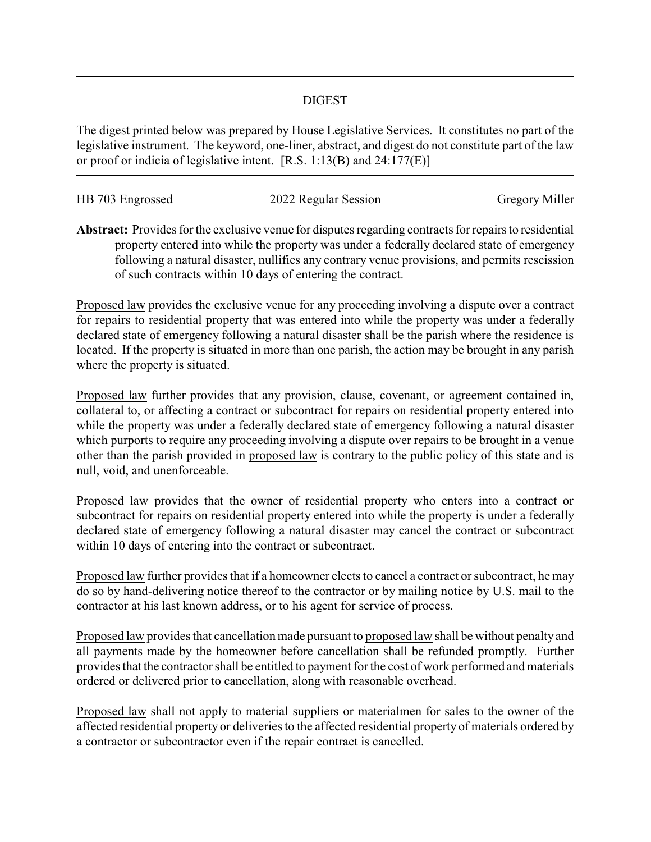## DIGEST

The digest printed below was prepared by House Legislative Services. It constitutes no part of the legislative instrument. The keyword, one-liner, abstract, and digest do not constitute part of the law or proof or indicia of legislative intent. [R.S. 1:13(B) and 24:177(E)]

| HB 703 Engrossed | 2022 Regular Session | <b>Gregory Miller</b> |
|------------------|----------------------|-----------------------|
|                  |                      |                       |

**Abstract:** Provides for the exclusive venue for disputes regarding contracts for repairs to residential property entered into while the property was under a federally declared state of emergency following a natural disaster, nullifies any contrary venue provisions, and permits rescission of such contracts within 10 days of entering the contract.

Proposed law provides the exclusive venue for any proceeding involving a dispute over a contract for repairs to residential property that was entered into while the property was under a federally declared state of emergency following a natural disaster shall be the parish where the residence is located. If the property is situated in more than one parish, the action may be brought in any parish where the property is situated.

Proposed law further provides that any provision, clause, covenant, or agreement contained in, collateral to, or affecting a contract or subcontract for repairs on residential property entered into while the property was under a federally declared state of emergency following a natural disaster which purports to require any proceeding involving a dispute over repairs to be brought in a venue other than the parish provided in proposed law is contrary to the public policy of this state and is null, void, and unenforceable.

Proposed law provides that the owner of residential property who enters into a contract or subcontract for repairs on residential property entered into while the property is under a federally declared state of emergency following a natural disaster may cancel the contract or subcontract within 10 days of entering into the contract or subcontract.

Proposed law further provides that if a homeowner elects to cancel a contract or subcontract, he may do so by hand-delivering notice thereof to the contractor or by mailing notice by U.S. mail to the contractor at his last known address, or to his agent for service of process.

Proposed law provides that cancellation made pursuant to proposed law shall be without penalty and all payments made by the homeowner before cancellation shall be refunded promptly. Further provides that the contractor shall be entitled to payment for the cost of work performed and materials ordered or delivered prior to cancellation, along with reasonable overhead.

Proposed law shall not apply to material suppliers or materialmen for sales to the owner of the affected residential property or deliveries to the affected residential property of materials ordered by a contractor or subcontractor even if the repair contract is cancelled.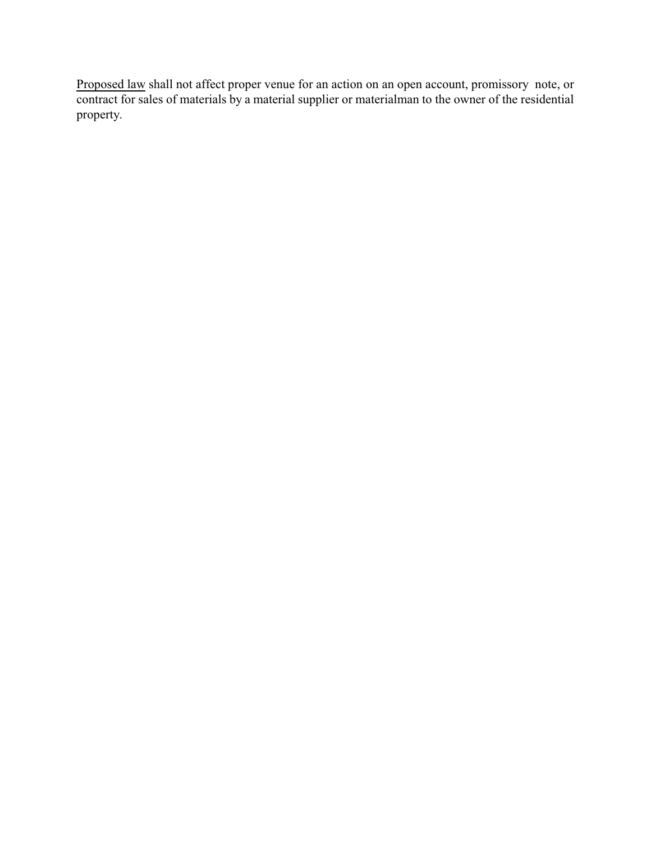Proposed law shall not affect proper venue for an action on an open account, promissory note, or contract for sales of materials by a material supplier or materialman to the owner of the residential property.